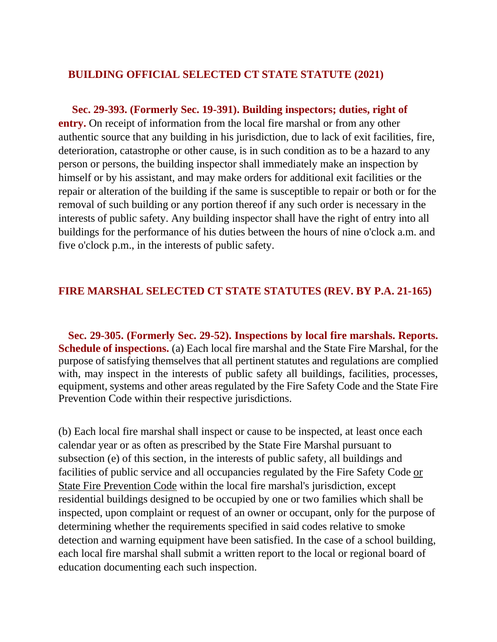## **BUILDING OFFICIAL SELECTED CT STATE STATUTE (2021)**

 **Sec. 29-393. (Formerly Sec. 19-391). Building inspectors; duties, right of entry.** On receipt of information from the local fire marshal or from any other authentic source that any building in his jurisdiction, due to lack of exit facilities, fire, deterioration, catastrophe or other cause, is in such condition as to be a hazard to any person or persons, the building inspector shall immediately make an inspection by himself or by his assistant, and may make orders for additional exit facilities or the repair or alteration of the building if the same is susceptible to repair or both or for the removal of such building or any portion thereof if any such order is necessary in the interests of public safety. Any building inspector shall have the right of entry into all buildings for the performance of his duties between the hours of nine o'clock a.m. and five o'clock p.m., in the interests of public safety.

## **FIRE MARSHAL SELECTED CT STATE STATUTES (REV. BY P.A. 21-165)**

**Sec. 29-305. (Formerly Sec. 29-52). Inspections by local fire marshals. Reports. Schedule of inspections.** (a) Each local fire marshal and the State Fire Marshal, for the purpose of satisfying themselves that all pertinent statutes and regulations are complied with, may inspect in the interests of public safety all buildings, facilities, processes, equipment, systems and other areas regulated by the Fire Safety Code and the State Fire Prevention Code within their respective jurisdictions.

(b) Each local fire marshal shall inspect or cause to be inspected, at least once each calendar year or as often as prescribed by the State Fire Marshal pursuant to subsection (e) of this section, in the interests of public safety, all buildings and facilities of public service and all occupancies regulated by the Fire Safety Code or State Fire Prevention Code within the local fire marshal's jurisdiction, except residential buildings designed to be occupied by one or two families which shall be inspected, upon complaint or request of an owner or occupant, only for the purpose of determining whether the requirements specified in said codes relative to smoke detection and warning equipment have been satisfied. In the case of a school building, each local fire marshal shall submit a written report to the local or regional board of education documenting each such inspection.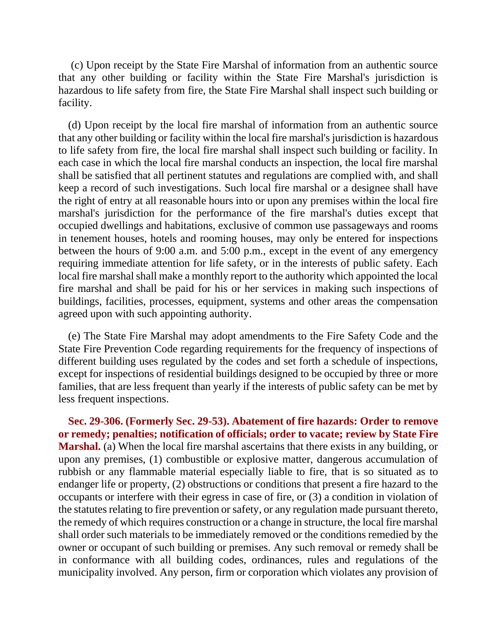(c) Upon receipt by the State Fire Marshal of information from an authentic source that any other building or facility within the State Fire Marshal's jurisdiction is hazardous to life safety from fire, the State Fire Marshal shall inspect such building or facility.

(d) Upon receipt by the local fire marshal of information from an authentic source that any other building or facility within the local fire marshal's jurisdiction is hazardous to life safety from fire, the local fire marshal shall inspect such building or facility. In each case in which the local fire marshal conducts an inspection, the local fire marshal shall be satisfied that all pertinent statutes and regulations are complied with, and shall keep a record of such investigations. Such local fire marshal or a designee shall have the right of entry at all reasonable hours into or upon any premises within the local fire marshal's jurisdiction for the performance of the fire marshal's duties except that occupied dwellings and habitations, exclusive of common use passageways and rooms in tenement houses, hotels and rooming houses, may only be entered for inspections between the hours of 9:00 a.m. and 5:00 p.m., except in the event of any emergency requiring immediate attention for life safety, or in the interests of public safety. Each local fire marshal shall make a monthly report to the authority which appointed the local fire marshal and shall be paid for his or her services in making such inspections of buildings, facilities, processes, equipment, systems and other areas the compensation agreed upon with such appointing authority.

(e) The State Fire Marshal may adopt amendments to the Fire Safety Code and the State Fire Prevention Code regarding requirements for the frequency of inspections of different building uses regulated by the codes and set forth a schedule of inspections, except for inspections of residential buildings designed to be occupied by three or more families, that are less frequent than yearly if the interests of public safety can be met by less frequent inspections.

**Sec. 29-306. (Formerly Sec. 29-53). Abatement of fire hazards: Order to remove or remedy; penalties; notification of officials; order to vacate; review by State Fire Marshal.** (a) When the local fire marshal ascertains that there exists in any building, or upon any premises, (1) combustible or explosive matter, dangerous accumulation of rubbish or any flammable material especially liable to fire, that is so situated as to endanger life or property, (2) obstructions or conditions that present a fire hazard to the occupants or interfere with their egress in case of fire, or (3) a condition in violation of the statutes relating to fire prevention or safety, or any regulation made pursuant thereto, the remedy of which requires construction or a change in structure, the local fire marshal shall order such materials to be immediately removed or the conditions remedied by the owner or occupant of such building or premises. Any such removal or remedy shall be in conformance with all building codes, ordinances, rules and regulations of the municipality involved. Any person, firm or corporation which violates any provision of